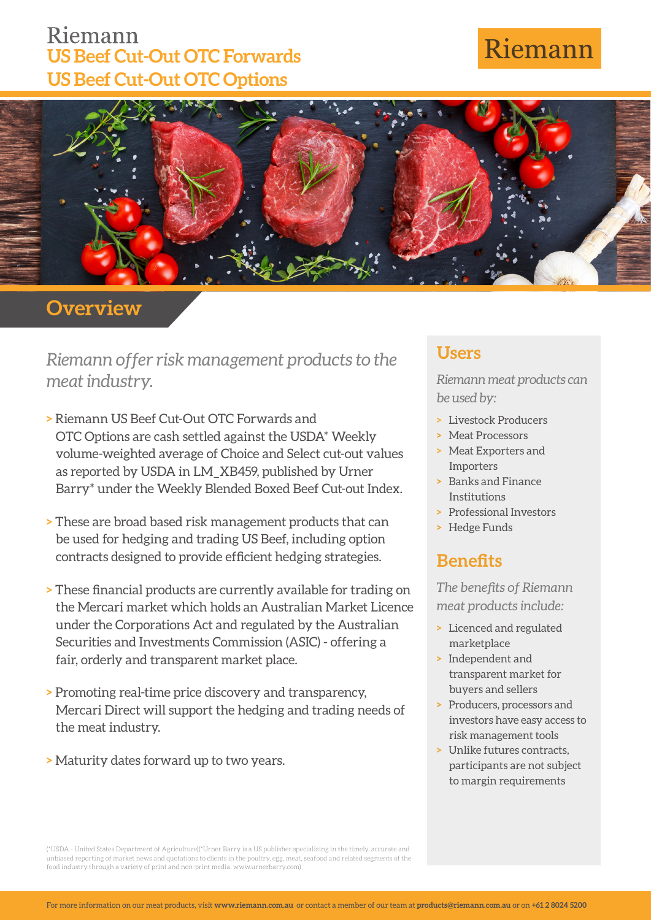## Riemann **US Beef Cut-Out OTC Forwards US Beef Cut-Out OTC Options**

# Riemann



**Overview**

*Riemann offer risk management products to the meat industry.*

- **>** Riemann US Beef Cut-Out OTC Forwards and OTC Options are cash settled against the USDA\* Weekly volume-weighted average of Choice and Select cut-out values as reported by USDA in LM\_XB459, published by Urner Barry\* under the Weekly Blended Boxed Beef Cut-out Index.
- **>** These are broad based risk management products that can be used for hedging and trading US Beef, including option contracts designed to provide efficient hedging strategies.
- **>** These financial products are currently available for trading on the Mercari market which holds an Australian Market Licence under the Corporations Act and regulated by the Australian Securities and Investments Commission (ASIC) - offering a fair, orderly and transparent market place.
- **>** Promoting real-time price discovery and transparency, Mercari Direct will support the hedging and trading needs of the meat industry.
- **>** Maturity dates forward up to two years.

#### **Users**

*Riemann meat products can be used by:*

- **>** Livestock Producers
- **>** Meat Processors
- **>** Meat Exporters and Importers
- **>** Banks and Finance Institutions
- **>** Professional Investors
- **>** Hedge Funds

### **Benefits**

*The benefits of Riemann meat products include:*

- **>** Licenced and regulated marketplace
- **>** Independent and transparent market for buyers and sellers
- **>** Producers, processors and investors have easy access to risk management tools
- **>** Unlike futures contracts, participants are not subject to margin requirements

(\*USDA - United States Department of Agriculture)(\*Urner Barry is a US publisher specializing in the timely, accurate and unbiased reporting of market news and quotations to clients in the poultry, egg, meat, seafood and related segments of the food industry through a variety of print and non-print media. www.urnerbarry.com)